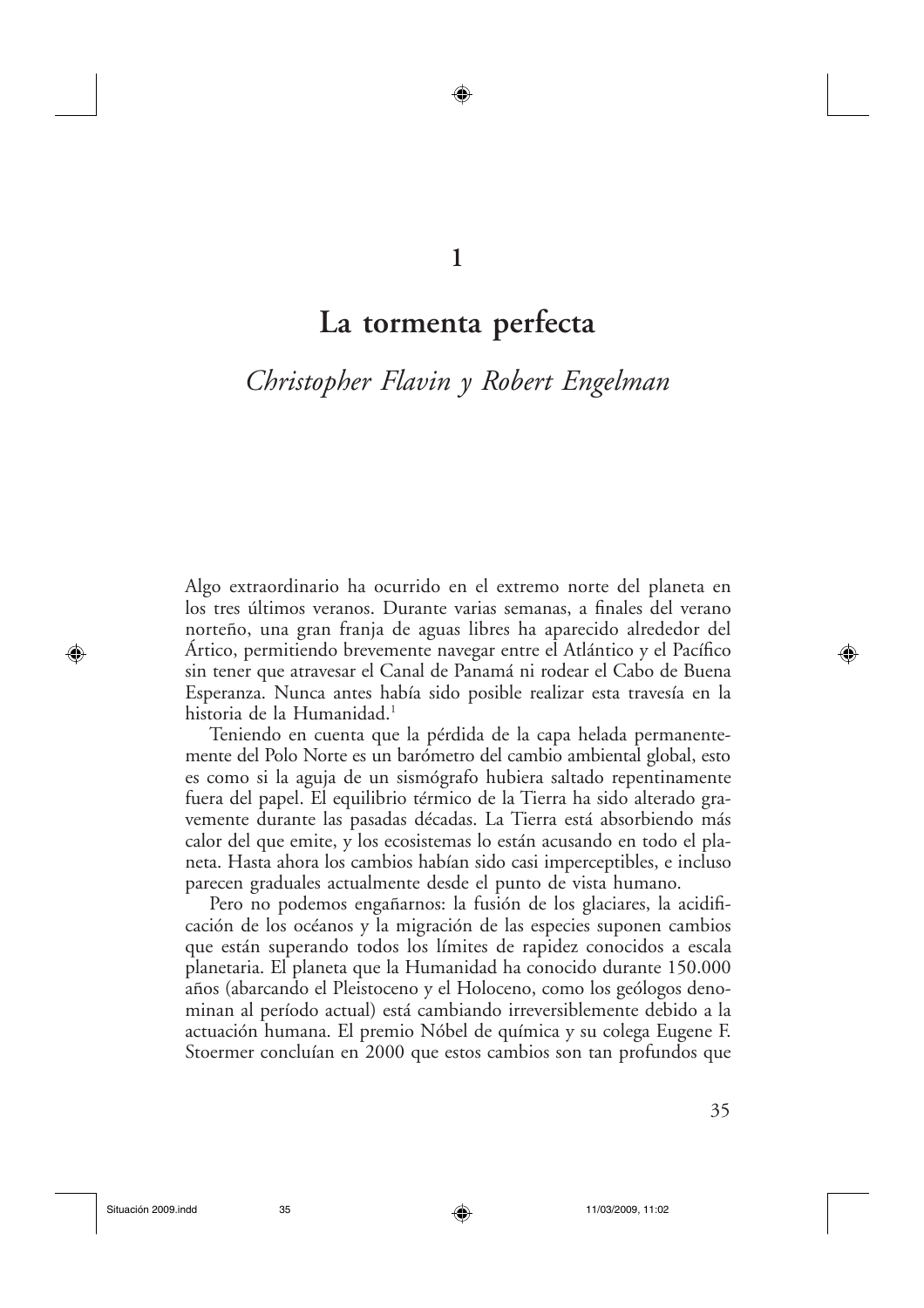## 1

◈

# La tormenta perfecta

# Christopher Flavin y Robert Engelman

Algo extraordinario ha ocurrido en el extremo norte del planeta en los tres últimos veranos. Durante varias semanas, a finales del verano norteño, una gran franja de aguas libres ha aparecido alrededor del Artico, permitiendo brevemente navegar entre el Atlántico y el Pacífico sin tener que atravesar el Canal de Panamá ni rodear el Cabo de Buena Esperanza. Nunca antes había sido posible realizar esta travesía en la historia de la Humanidad.<sup>1</sup>

Teniendo en cuenta que la pérdida de la capa helada permanentemente del Polo Norte es un barómetro del cambio ambiental global, esto es como si la aguja de un sismógrafo hubiera saltado repentinamente fuera del papel. El equilibrio térmico de la Tierra ha sido alterado gravemente durante las pasadas décadas. La Tierra está absorbiendo más calor del que emite, y los ecosistemas lo están acusando en todo el planeta. Hasta ahora los cambios habían sido casi imperceptibles, e incluso parecen graduales actualmente desde el punto de vista humano.

Pero no podemos engañarnos: la fusión de los glaciares, la acidificación de los océanos y la migración de las especies suponen cambios que están superando todos los límites de rapidez conocidos a escala planetaria. El planeta que la Humanidad ha conocido durante 150.000 años (abarcando el Pleistoceno y el Holoceno, como los geólogos denominan al período actual) está cambiando irreversiblemente debido a la actuación humana. El premio Nóbel de química y su colega Eugene F. Stoermer concluían en 2000 que estos cambios son tan profundos que

◈

◈

⊕

11/03/2009. 11:02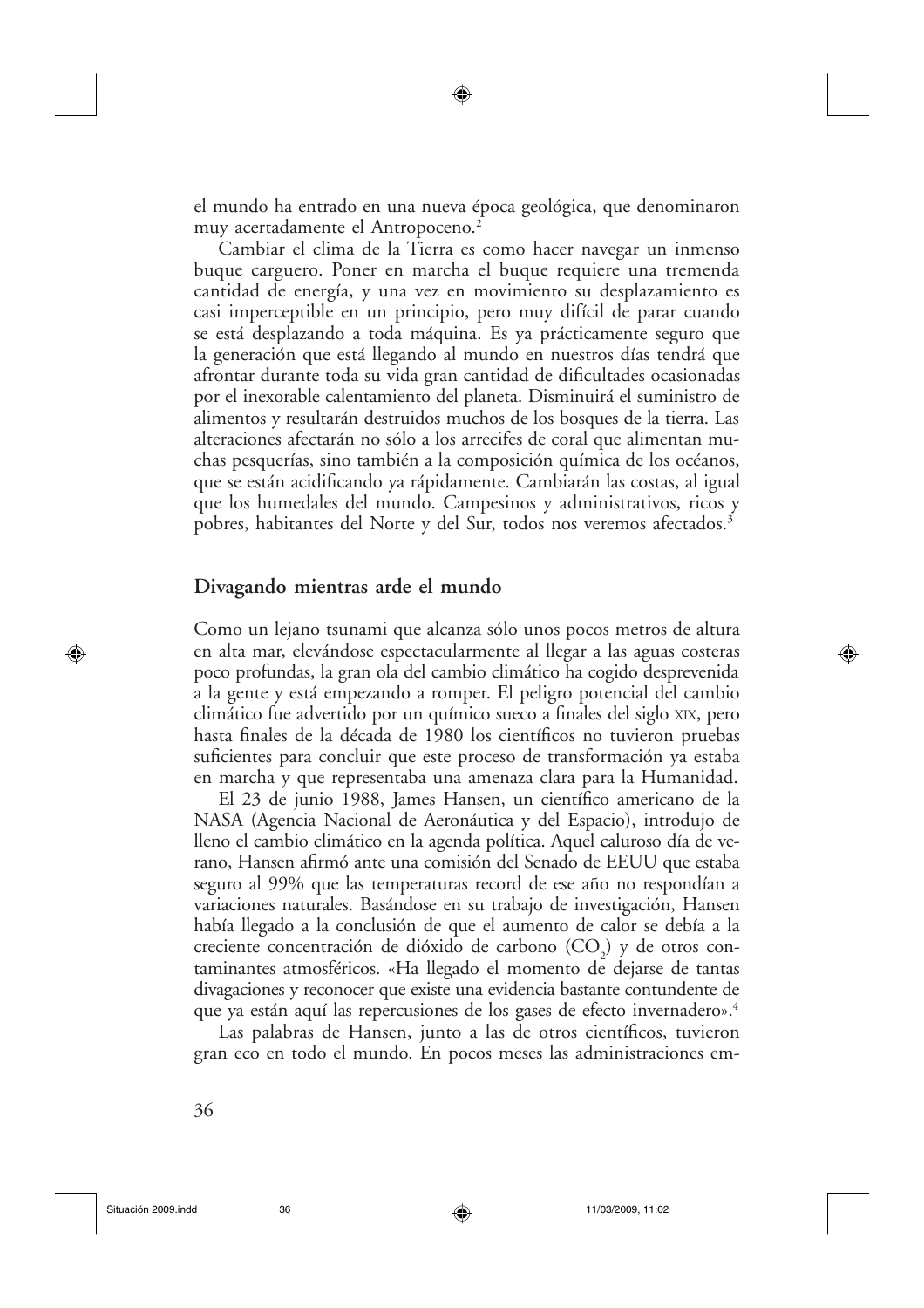el mundo ha entrado en una nueva época geológica, que denominaron muy acertadamente el Antropoceno.<sup>2</sup>

⊕

Cambiar el clima de la Tierra es como hacer navegar un inmenso buque carguero. Poner en marcha el buque requiere una tremenda cantidad de energía, y una vez en movimiento su desplazamiento es casi imperceptible en un principio, pero muy difícil de parar cuando se está desplazando a toda máquina. Es ya prácticamente seguro que la generación que está llegando al mundo en nuestros días tendrá que afrontar durante toda su vida gran cantidad de dificultades ocasionadas por el inexorable calentamiento del planeta. Disminuirá el suministro de alimentos y resultarán destruidos muchos de los bosques de la tierra. Las alteraciones afectarán no sólo a los arrecifes de coral que alimentan muchas pesquerías, sino también a la composición química de los océanos, que se están acidificando ya rápidamente. Cambiarán las costas, al igual que los humedales del mundo. Campesinos y administrativos, ricos y pobres, habitantes del Norte y del Sur, todos nos veremos afectados.<sup>3</sup>

#### Divagando mientras arde el mundo

Como un lejano tsunami que alcanza sólo unos pocos metros de altura en alta mar, elevándose espectacularmente al llegar a las aguas costeras poco profundas, la gran ola del cambio climático ha cogido desprevenida a la gente y está empezando a romper. El peligro potencial del cambio climático fue advertido por un químico sueco a finales del siglo XIX, pero hasta finales de la década de 1980 los científicos no tuvieron pruebas suficientes para concluir que este proceso de transformación ya estaba en marcha y que representaba una amenaza clara para la Humanidad.

El 23 de junio 1988, James Hansen, un científico americano de la NASA (Agencia Nacional de Aeronáutica y del Espacio), introdujo de lleno el cambio climático en la agenda política. Aquel caluroso día de verano, Hansen afirmó ante una comisión del Senado de EEUU que estaba seguro al 99% que las temperaturas record de ese año no respondían a variaciones naturales. Basándose en su trabajo de investigación, Hansen había llegado a la conclusión de que el aumento de calor se debía a la creciente concentración de dióxido de carbono (CO<sub>2</sub>) y de otros contaminantes atmosféricos. «Ha llegado el momento de dejarse de tantas divagaciones y reconocer que existe una evidencia bastante contundente de que ya están aquí las repercusiones de los gases de efecto invernadero».<sup>4</sup>

Las palabras de Hansen, junto a las de otros científicos, tuvieron gran eco en todo el mundo. En pocos meses las administraciones em-

◈

⊕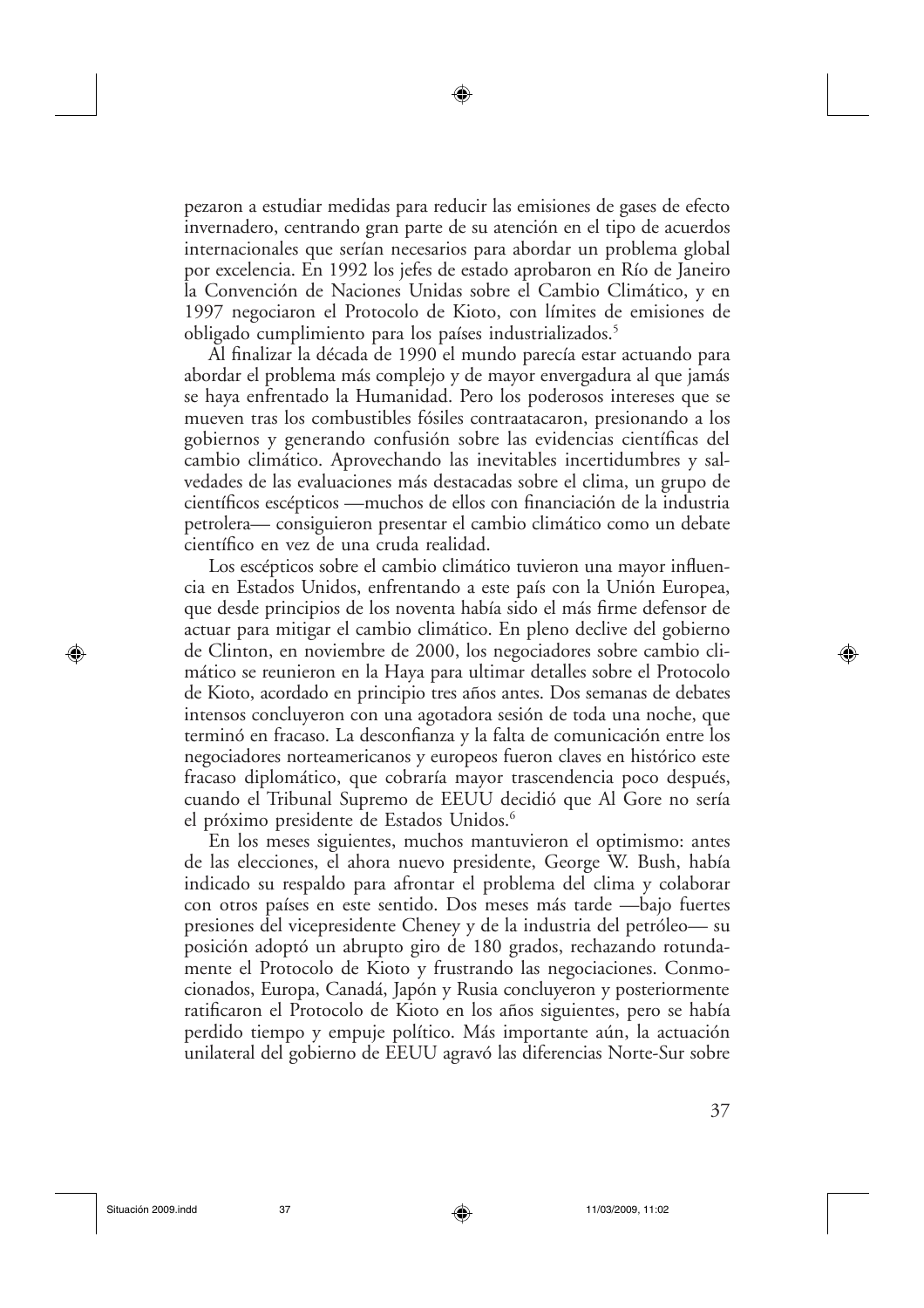pezaron a estudiar medidas para reducir las emisiones de gases de efecto invernadero, centrando gran parte de su atención en el tipo de acuerdos internacionales que serían necesarios para abordar un problema global por excelencia. En 1992 los jefes de estado aprobaron en Río de Janeiro la Convención de Naciones Unidas sobre el Cambio Climático, y en 1997 negociaron el Protocolo de Kioto, con límites de emisiones de obligado cumplimiento para los países industrializados.<sup>5</sup>

⊕

Al finalizar la década de 1990 el mundo parecía estar actuando para abordar el problema más complejo y de mayor envergadura al que jamás se haya enfrentado la Humanidad. Pero los poderosos intereses que se mueven tras los combustibles fósiles contraatacaron, presionando a los gobiernos y generando confusión sobre las evidencias científicas del cambio climático. Aprovechando las inevitables incertidumbres y salvedades de las evaluaciones más destacadas sobre el clima, un grupo de científicos escépticos - muchos de ellos con financiación de la industria petrolera— consiguieron presentar el cambio climático como un debate científico en vez de una cruda realidad.

Los escépticos sobre el cambio climático tuvieron una mayor influencia en Estados Unidos, enfrentando a este país con la Unión Europea, que desde principios de los noventa había sido el más firme defensor de actuar para mitigar el cambio climático. En pleno declive del gobierno de Clinton, en noviembre de 2000, los negociadores sobre cambio climático se reunieron en la Haya para ultimar detalles sobre el Protocolo de Kioto, acordado en principio tres años antes. Dos semanas de debates intensos concluyeron con una agotadora sesión de toda una noche, que terminó en fracaso. La desconfianza y la falta de comunicación entre los negociadores norteamericanos y europeos fueron claves en histórico este fracaso diplomático, que cobraría mayor trascendencia poco después, cuando el Tribunal Supremo de EEUU decidió que Al Gore no sería el próximo presidente de Estados Unidos.<sup>6</sup>

En los meses siguientes, muchos mantuvieron el optimismo: antes de las elecciones, el ahora nuevo presidente, George W. Bush, había indicado su respaldo para afrontar el problema del clima y colaborar con otros países en este sentido. Dos meses más tarde —bajo fuertes presiones del vicepresidente Cheney y de la industria del petróleo— su posición adoptó un abrupto giro de 180 grados, rechazando rotundamente el Protocolo de Kioto y frustrando las negociaciones. Conmocionados, Europa, Canadá, Japón y Rusia concluyeron y posteriormente ratificaron el Protocolo de Kioto en los años siguientes, pero se había perdido tiempo y empuje político. Más importante aún, la actuación unilateral del gobierno de EEUU agravó las diferencias Norte-Sur sobre

⊕

◈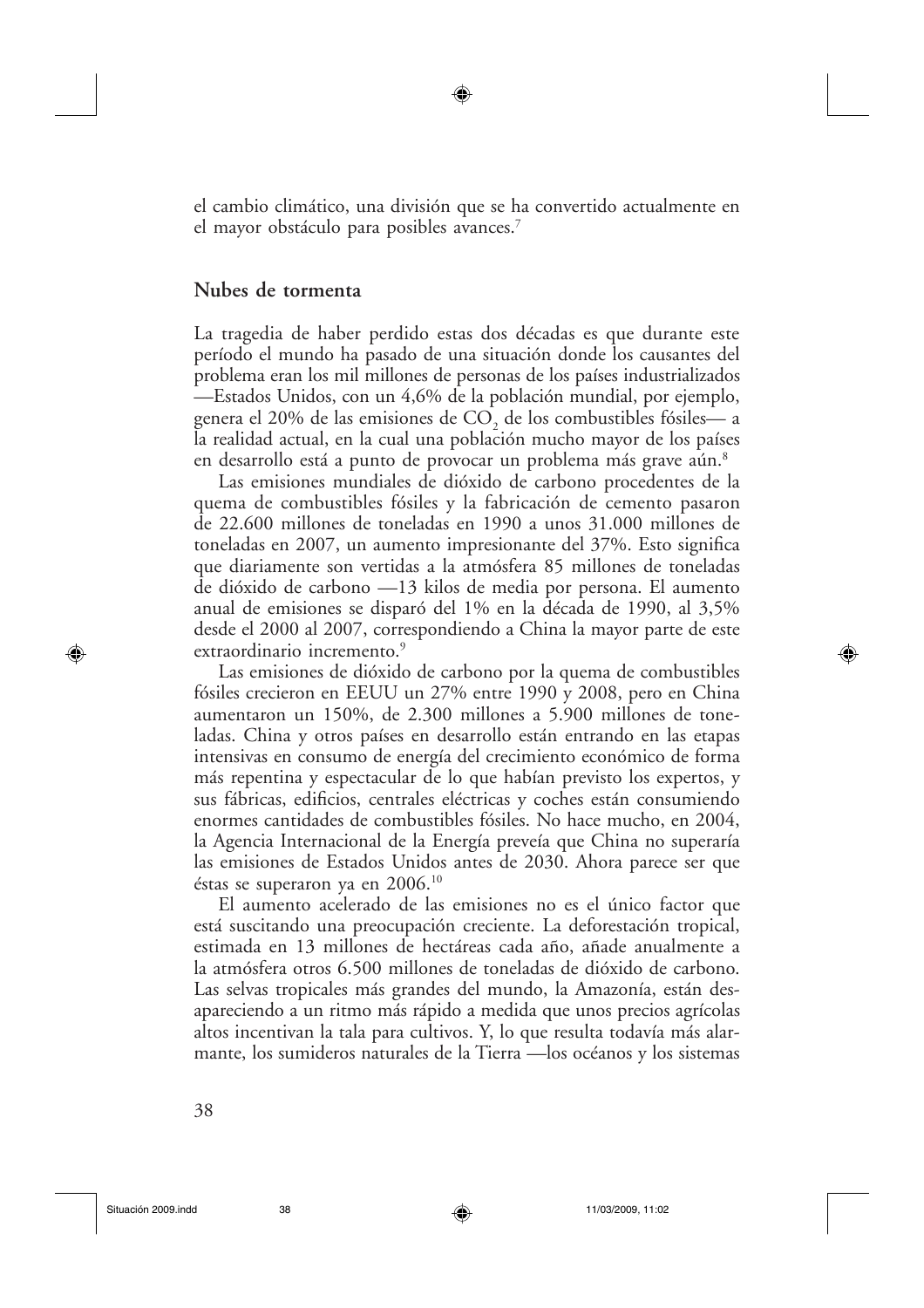el cambio climático, una división que se ha convertido actualmente en el mayor obstáculo para posibles avances.<sup>7</sup>

⊕

### Nubes de tormenta

La tragedia de haber perdido estas dos décadas es que durante este período el mundo ha pasado de una situación donde los causantes del problema eran los mil millones de personas de los países industrializados —Estados Unidos, con un 4,6% de la población mundial, por ejemplo, genera el 20% de las emisiones de CO, de los combustibles fósiles— a la realidad actual, en la cual una población mucho mayor de los países en desarrollo está a punto de provocar un problema más grave aún.<sup>8</sup>

Las emisiones mundiales de dióxido de carbono procedentes de la quema de combustibles fósiles y la fabricación de cemento pasaron de 22.600 millones de toneladas en 1990 a unos 31.000 millones de toneladas en 2007, un aumento impresionante del 37%. Esto significa que diariamente son vertidas a la atmósfera 85 millones de toneladas de dióxido de carbono -13 kilos de media por persona. El aumento anual de emisiones se disparó del 1% en la década de 1990, al 3,5% desde el 2000 al 2007, correspondiendo a China la mayor parte de este extraordinario incremento.<sup>9</sup>

Las emisiones de dióxido de carbono por la quema de combustibles fósiles crecieron en EEUU un 27% entre 1990 y 2008, pero en China aumentaron un 150%, de 2.300 millones a 5.900 millones de toneladas. China y otros países en desarrollo están entrando en las etapas intensivas en consumo de energía del crecimiento económico de forma más repentina y espectacular de lo que habían previsto los expertos, y sus fábricas, edificios, centrales eléctricas y coches están consumiendo enormes cantidades de combustibles fósiles. No hace mucho, en 2004, la Agencia Internacional de la Energía preveía que China no superaría las emisiones de Estados Unidos antes de 2030. Ahora parece ser que éstas se superaron ya en  $2006$ <sup>10</sup>

El aumento acelerado de las emisiones no es el único factor que está suscitando una preocupación creciente. La deforestación tropical, estimada en 13 millones de hectáreas cada año, añade anualmente a la atmósfera otros 6.500 millones de toneladas de dióxido de carbono. Las selvas tropicales más grandes del mundo, la Amazonía, están desapareciendo a un ritmo más rápido a medida que unos precios agrícolas altos incentivan la tala para cultivos. Y, lo que resulta todavía más alarmante, los sumideros naturales de la Tierra —los océanos y los sistemas

◈

⊕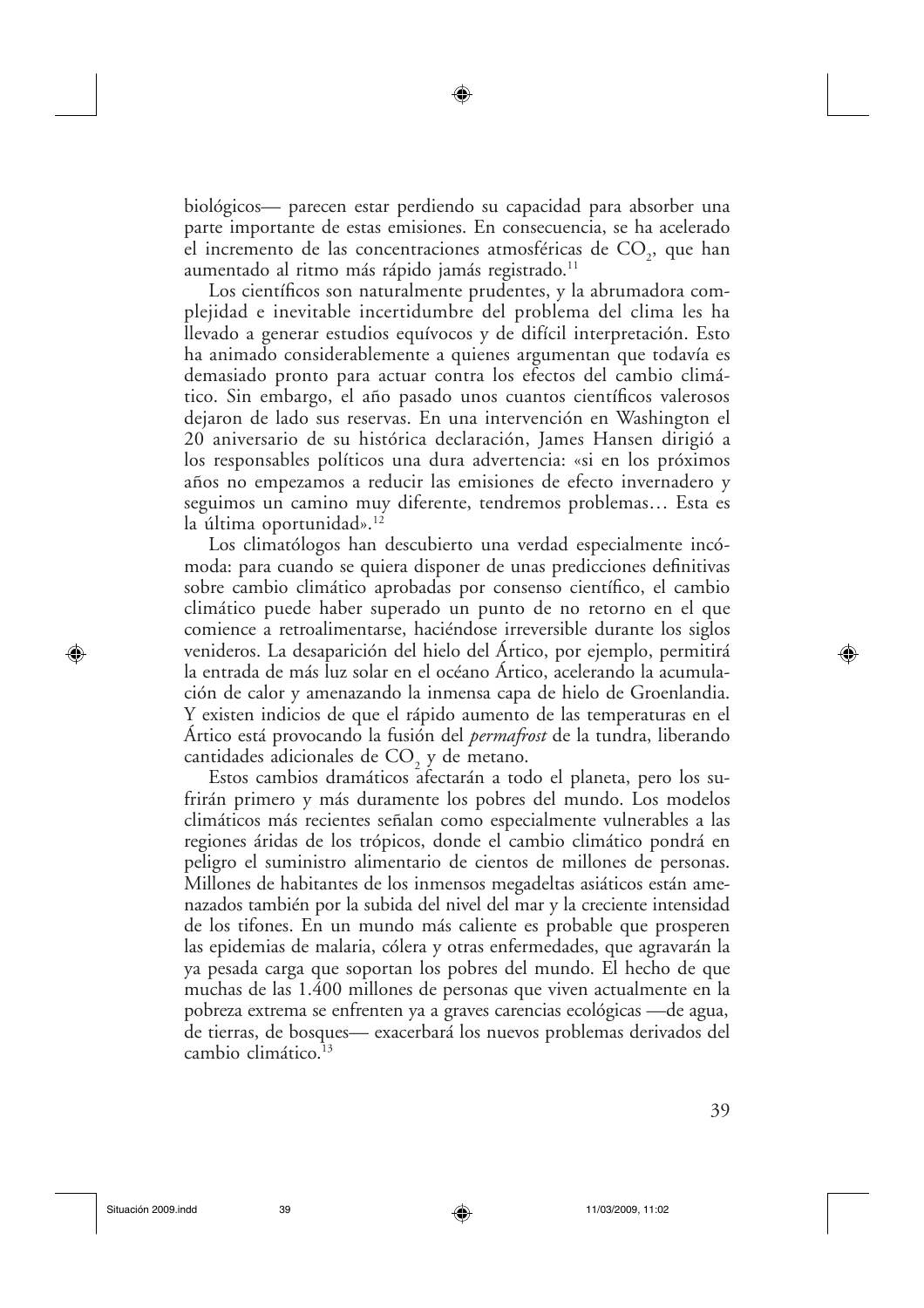biológicos— parecen estar perdiendo su capacidad para absorber una parte importante de estas emisiones. En consecuencia, se ha acelerado el incremento de las concentraciones atmosféricas de  $CO<sub>2</sub>$ , que han aumentado al ritmo más rápido jamás registrado.<sup>11</sup>

⊕

Los científicos son naturalmente prudentes, y la abrumadora complejidad e inevitable incertidumbre del problema del clima les ha llevado a generar estudios equívocos y de difícil interpretación. Esto ha animado considerablemente a quienes argumentan que todavía es demasiado pronto para actuar contra los efectos del cambio climático. Sin embargo, el año pasado unos cuantos científicos valerosos dejaron de lado sus reservas. En una intervención en Washington el 20 aniversario de su histórica declaración, James Hansen dirigió a los responsables políticos una dura advertencia: «si en los próximos años no empezamos a reducir las emisiones de efecto invernadero y seguimos un camino muy diferente, tendremos problemas... Esta es la última oportunidad».<sup>12</sup>

Los climatólogos han descubierto una verdad especialmente incómoda: para cuando se quiera disponer de unas predicciones definitivas sobre cambio climático aprobadas por consenso científico, el cambio climático puede haber superado un punto de no retorno en el que comience a retroalimentarse, haciéndose irreversible durante los siglos venideros. La desaparición del hielo del Ártico, por ejemplo, permitirá la entrada de más luz solar en el océano Artico, acelerando la acumulación de calor y amenazando la inmensa capa de hielo de Groenlandia. Y existen indicios de que el rápido aumento de las temperaturas en el Artico está provocando la fusión del *permafrost* de la tundra, liberando cantidades adicionales de CO<sub>2</sub> y de metano.

Estos cambios dramáticos afectarán a todo el planeta, pero los sufrirán primero y más duramente los pobres del mundo. Los modelos climáticos más recientes señalan como especialmente vulnerables a las regiones áridas de los trópicos, donde el cambio climático pondrá en peligro el suministro alimentario de cientos de millones de personas. Millones de habitantes de los inmensos megadeltas asiáticos están amenazados también por la subida del nivel del mar y la creciente intensidad de los tifones. En un mundo más caliente es probable que prosperen las epidemias de malaria, cólera y otras enfermedades, que agravarán la ya pesada carga que soportan los pobres del mundo. El hecho de que muchas de las 1.400 millones de personas que viven actualmente en la pobreza extrema se enfrenten ya a graves carencias ecológicas — de agua, de tierras, de bosques- exacerbará los nuevos problemas derivados del cambio climático.<sup>13</sup>

⊕

◈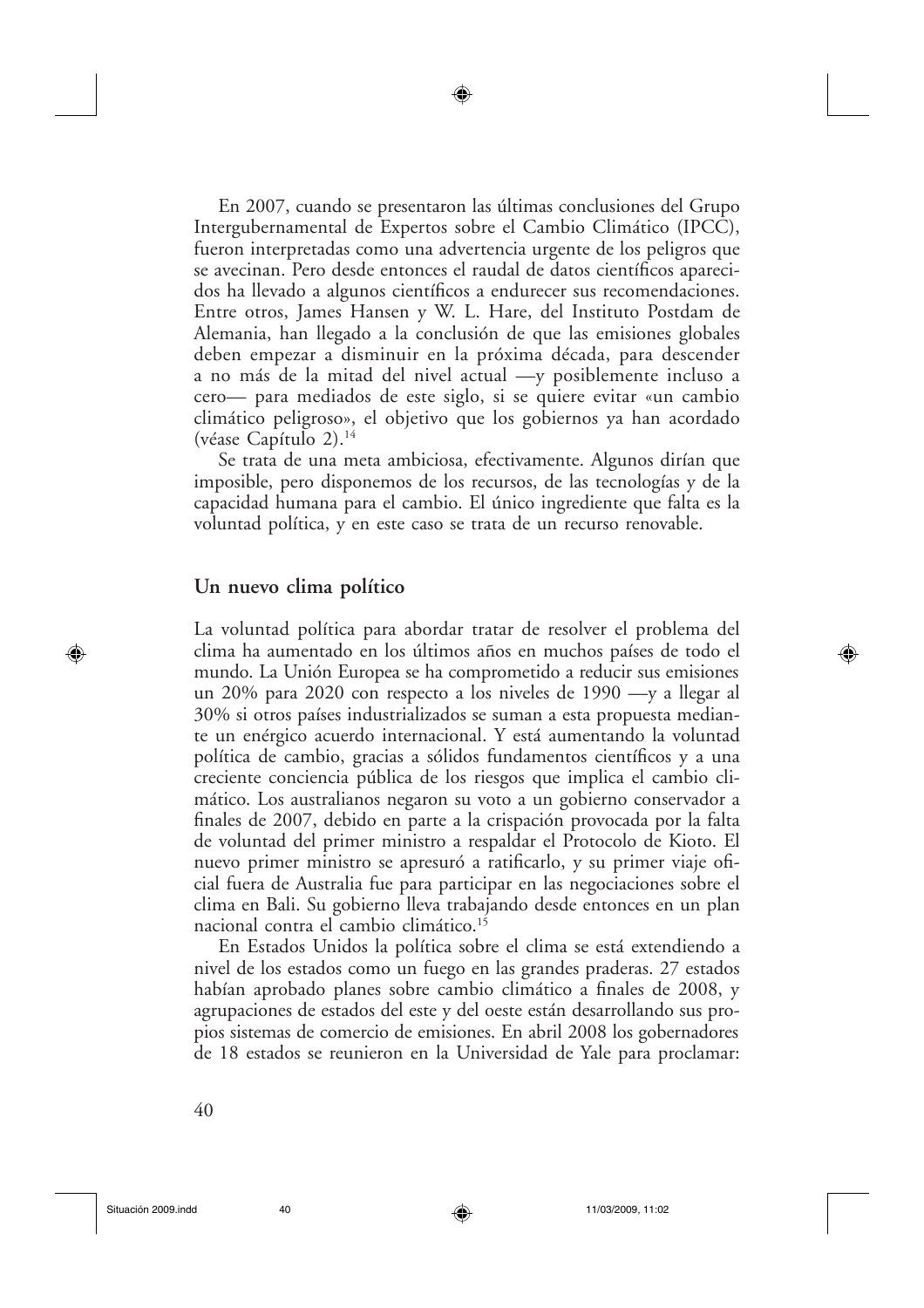En 2007, cuando se presentaron las últimas conclusiones del Grupo Intergubernamental de Expertos sobre el Cambio Climático (IPCC), fueron interpretadas como una advertencia urgente de los peligros que se avecinan. Pero desde entonces el raudal de datos científicos aparecidos ha llevado a algunos científicos a endurecer sus recomendaciones. Entre otros, James Hansen y W. L. Hare, del Instituto Postdam de Alemania, han llegado a la conclusión de que las emisiones globales deben empezar a disminuir en la próxima década, para descender a no más de la mitad del nivel actual —y posiblemente incluso a cero— para mediados de este siglo, si se quiere evitar «un cambio climático peligroso», el objetivo que los gobiernos ya han acordado (véase Capítulo 2).<sup>14</sup>

⊕

Se trata de una meta ambiciosa, efectivamente. Algunos dirían que imposible, pero disponemos de los recursos, de las tecnologías y de la capacidad humana para el cambio. El único ingrediente que falta es la voluntad política, y en este caso se trata de un recurso renovable.

#### Un nuevo clima político

La voluntad política para abordar tratar de resolver el problema del clima ha aumentado en los últimos años en muchos países de todo el mundo. La Unión Europea se ha comprometido a reducir sus emisiones un 20% para 2020 con respecto a los niveles de 1990 —y a llegar al 30% si otros países industrializados se suman a esta propuesta mediante un enérgico acuerdo internacional. Y está aumentando la voluntad política de cambio, gracias a sólidos fundamentos científicos y a una creciente conciencia pública de los riesgos que implica el cambio climático. Los australianos negaron su voto a un gobierno conservador a finales de 2007, debido en parte a la crispación provocada por la falta de voluntad del primer ministro a respaldar el Protocolo de Kioto. El nuevo primer ministro se apresuró a ratificarlo, y su primer viaje oficial fuera de Australia fue para participar en las negociaciones sobre el clima en Bali. Su gobierno lleva trabajando desde entonces en un plan nacional contra el cambio climático.<sup>15</sup>

En Estados Unidos la política sobre el clima se está extendiendo a nivel de los estados como un fuego en las grandes praderas. 27 estados habían aprobado planes sobre cambio climático a finales de 2008, y agrupaciones de estados del este y del oeste están desarrollando sus propios sistemas de comercio de emisiones. En abril 2008 los gobernadores de 18 estados se reunieron en la Universidad de Yale para proclamar:

◈

⊕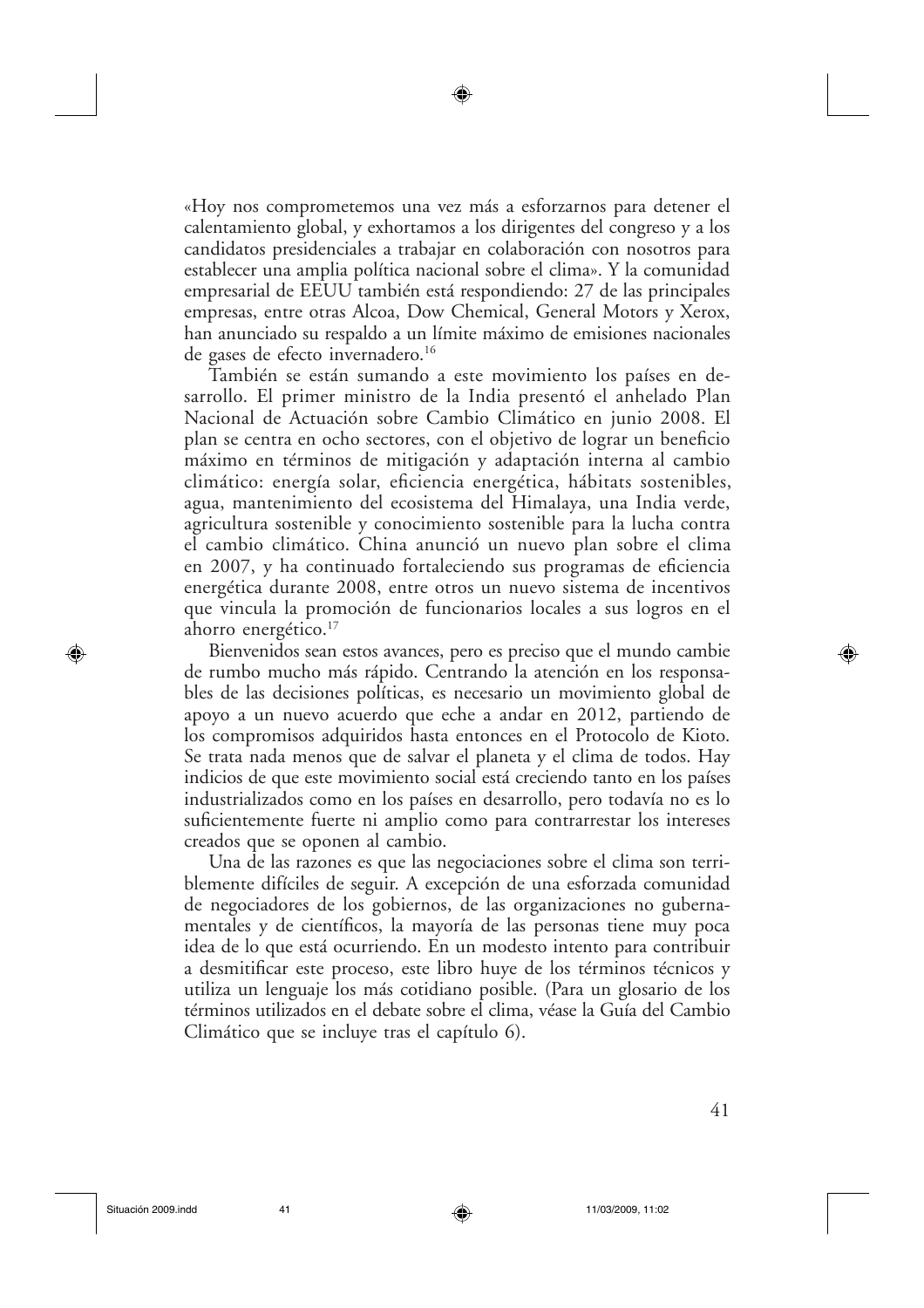«Hoy nos comprometemos una vez más a esforzarnos para detener el calentamiento global, y exhortamos a los dirigentes del congreso y a los candidatos presidenciales a trabajar en colaboración con nosotros para establecer una amplia política nacional sobre el clima». Y la comunidad empresarial de EEUU también está respondiendo: 27 de las principales empresas, entre otras Alcoa, Dow Chemical, General Motors y Xerox, han anunciado su respaldo a un límite máximo de emisiones nacionales de gases de efecto invernadero.<sup>16</sup>

⊕

También se están sumando a este movimiento los países en desarrollo. El primer ministro de la India presentó el anhelado Plan Nacional de Actuación sobre Cambio Climático en junio 2008. El plan se centra en ocho sectores, con el objetivo de lograr un beneficio máximo en términos de mitigación y adaptación interna al cambio climático: energía solar, eficiencia energética, hábitats sostenibles, agua, mantenimiento del ecosistema del Himalaya, una India verde, agricultura sostenible y conocimiento sostenible para la lucha contra el cambio climático. China anunció un nuevo plan sobre el clima en 2007, y ha continuado fortaleciendo sus programas de eficiencia energética durante 2008, entre otros un nuevo sistema de incentivos que vincula la promoción de funcionarios locales a sus logros en el ahorro energético.<sup>17</sup>

Bienvenidos sean estos avances, pero es preciso que el mundo cambie de rumbo mucho más rápido. Centrando la atención en los responsables de las decisiones políticas, es necesario un movimiento global de apoyo a un nuevo acuerdo que eche a andar en 2012, partiendo de los compromisos adquiridos hasta entonces en el Protocolo de Kioto. Se trata nada menos que de salvar el planeta y el clima de todos. Hay indicios de que este movimiento social está creciendo tanto en los países industrializados como en los países en desarrollo, pero todavía no es lo suficientemente fuerte ni amplio como para contrarrestar los intereses creados que se oponen al cambio.

Una de las razones es que las negociaciones sobre el clima son terriblemente difíciles de seguir. A excepción de una esforzada comunidad de negociadores de los gobiernos, de las organizaciones no gubernamentales y de científicos, la mayoría de las personas tiene muy poca idea de lo que está ocurriendo. En un modesto intento para contribuir a desmitificar este proceso, este libro huye de los términos técnicos y utiliza un lenguaje los más cotidiano posible. (Para un glosario de los términos utilizados en el debate sobre el clima, véase la Guía del Cambio Climático que se incluye tras el capítulo 6).

◈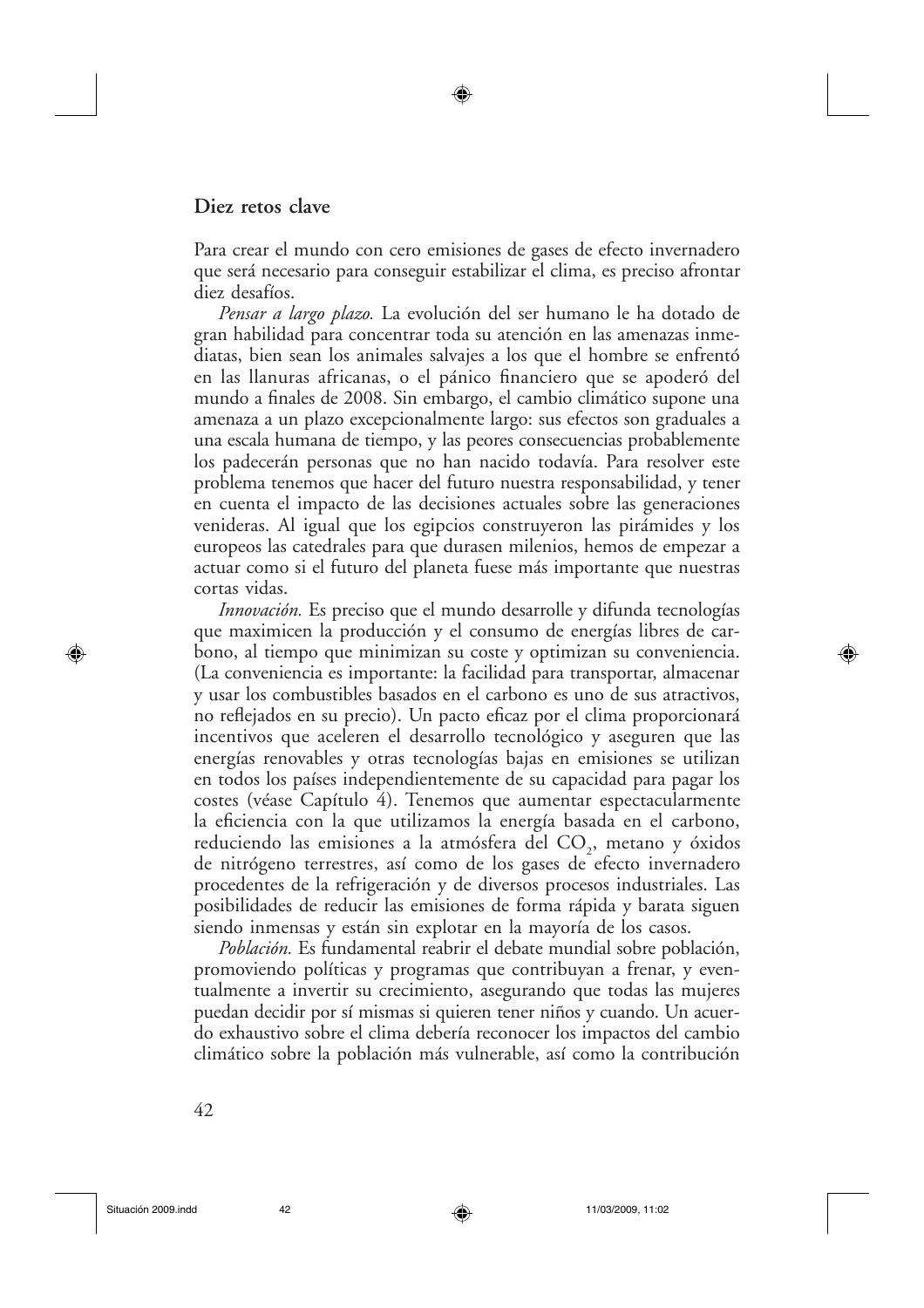#### Diez retos clave

Para crear el mundo con cero emisiones de gases de efecto invernadero que será necesario para conseguir estabilizar el clima, es preciso afrontar diez desafíos.

⊕

Pensar a largo plazo. La evolución del ser humano le ha dotado de gran habilidad para concentrar toda su atención en las amenazas inmediatas, bien sean los animales salvajes a los que el hombre se enfrentó en las llanuras africanas, o el pánico financiero que se apoderó del mundo a finales de 2008. Sin embargo, el cambio climático supone una amenaza a un plazo excepcionalmente largo: sus efectos son graduales a una escala humana de tiempo, y las peores consecuencias probablemente los padecerán personas que no han nacido todavía. Para resolver este problema tenemos que hacer del futuro nuestra responsabilidad, y tener en cuenta el impacto de las decisiones actuales sobre las generaciones venideras. Al igual que los egipcios construyeron las pirámides y los europeos las catedrales para que durasen milenios, hemos de empezar a actuar como si el futuro del planeta fuese más importante que nuestras cortas vidas.

*Innovación*. Es preciso que el mundo desarrolle y difunda tecnologías que maximicen la producción y el consumo de energías libres de carbono, al tiempo que minimizan su coste y optimizan su conveniencia. (La conveniencia es importante: la facilidad para transportar, almacenar y usar los combustibles basados en el carbono es uno de sus atractivos, no reflejados en su precio). Un pacto eficaz por el clima proporcionará incentivos que aceleren el desarrollo tecnológico y aseguren que las energías renovables y otras tecnologías bajas en emisiones se utilizan en todos los países independientemente de su capacidad para pagar los costes (véase Capítulo 4). Tenemos que aumentar espectacularmente la eficiencia con la que utilizamos la energía basada en el carbono, reduciendo las emisiones a la atmósfera del  $CO<sub>2</sub>$ , metano y óxidos de nitrógeno terrestres, así como de los gases de efecto invernadero procedentes de la refrigeración y de diversos procesos industriales. Las posibilidades de reducir las emisiones de forma rápida y barata siguen siendo inmensas y están sin explotar en la mayoría de los casos.

Población. Es fundamental reabrir el debate mundial sobre población, promoviendo políticas y programas que contribuyan a frenar, y eventualmente a invertir su crecimiento, asegurando que todas las mujeres puedan decidir por sí mismas si quieren tener niños y cuando. Un acuerdo exhaustivo sobre el clima debería reconocer los impactos del cambio climático sobre la población más vulnerable, así como la contribución

⊕

⊕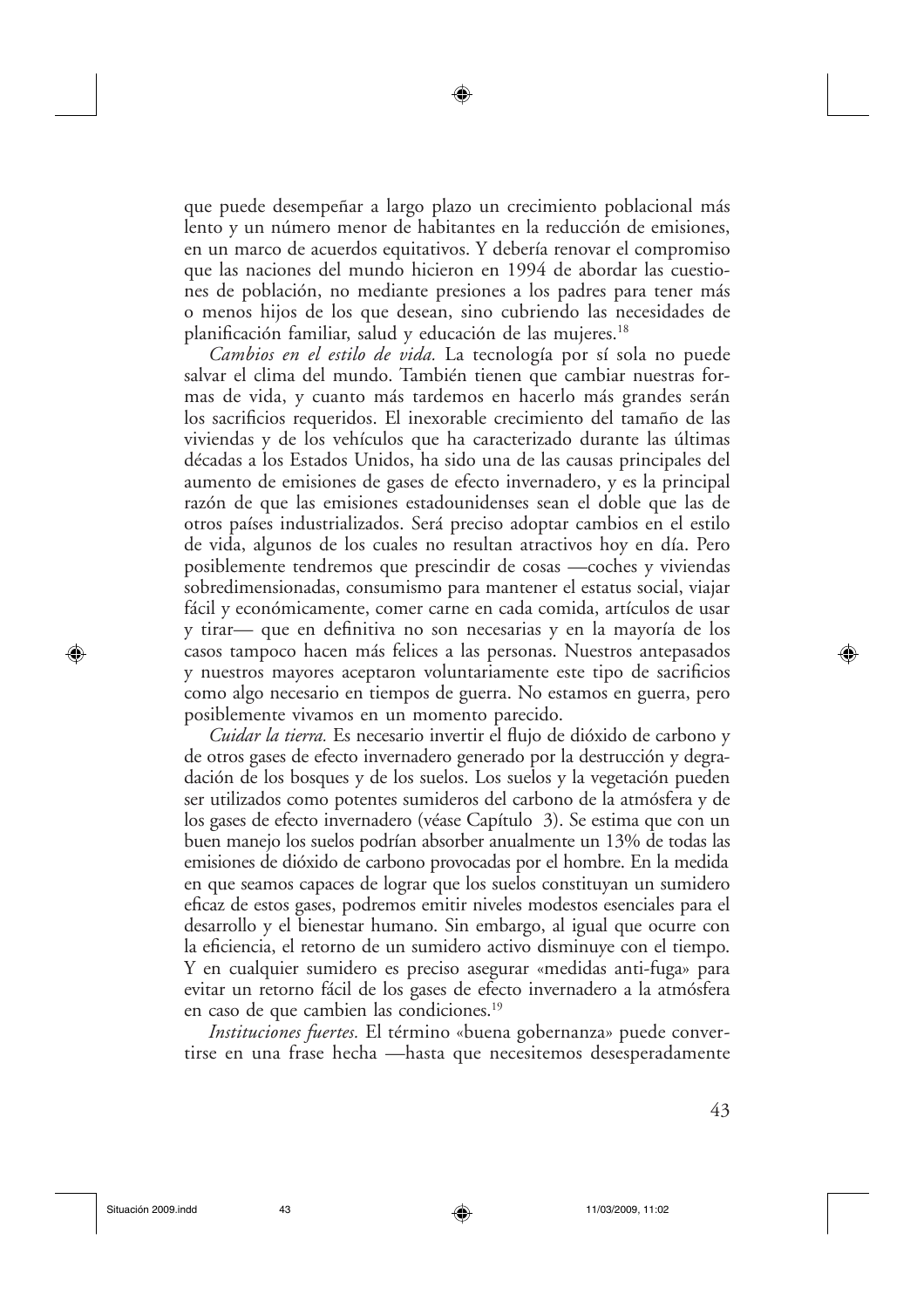que puede desempeñar a largo plazo un crecimiento poblacional más lento y un número menor de habitantes en la reducción de emisiones, en un marco de acuerdos equitativos. Y debería renovar el compromiso que las naciones del mundo hicieron en 1994 de abordar las cuestiones de población, no mediante presiones a los padres para tener más o menos hijos de los que desean, sino cubriendo las necesidades de planificación familiar, salud y educación de las mujeres.<sup>18</sup>

⊕

Cambios en el estilo de vida. La tecnología por sí sola no puede salvar el clima del mundo. También tienen que cambiar nuestras formas de vida, y cuanto más tardemos en hacerlo más grandes serán los sacrificios requeridos. El inexorable crecimiento del tamaño de las viviendas y de los vehículos que ha caracterizado durante las últimas décadas a los Estados Unidos, ha sido una de las causas principales del aumento de emisiones de gases de efecto invernadero, y es la principal razón de que las emisiones estadounidenses sean el doble que las de otros países industrializados. Será preciso adoptar cambios en el estilo de vida, algunos de los cuales no resultan atractivos hoy en día. Pero posiblemente tendremos que prescindir de cosas —coches y viviendas sobredimensionadas, consumismo para mantener el estatus social, viajar fácil y económicamente, comer carne en cada comida, artículos de usar y tirar— que en definitiva no son necesarias y en la mayoría de los casos tampoco hacen más felices a las personas. Nuestros antepasados y nuestros mayores aceptaron voluntariamente este tipo de sacrificios como algo necesario en tiempos de guerra. No estamos en guerra, pero posiblemente vivamos en un momento parecido.

Cuidar la tierra. Es necesario invertir el flujo de dióxido de carbono y de otros gases de efecto invernadero generado por la destrucción y degradación de los bosques y de los suelos. Los suelos y la vegetación pueden ser utilizados como potentes sumideros del carbono de la atmósfera y de los gases de efecto invernadero (véase Capítulo 3). Se estima que con un buen manejo los suelos podrían absorber anualmente un 13% de todas las emisiones de dióxido de carbono provocadas por el hombre. En la medida en que seamos capaces de lograr que los suelos constituyan un sumidero eficaz de estos gases, podremos emitir niveles modestos esenciales para el desarrollo y el bienestar humano. Sin embargo, al igual que ocurre con la eficiencia, el retorno de un sumidero activo disminuye con el tiempo. Y en cualquier sumidero es preciso asegurar «medidas anti-fuga» para evitar un retorno fácil de los gases de efecto invernadero a la atmósfera en caso de que cambien las condiciones.<sup>19</sup>

*Instituciones fuertes.* El término «buena gobernanza» puede convertirse en una frase hecha — hasta que necesitemos desesperadamente

⊕

⊕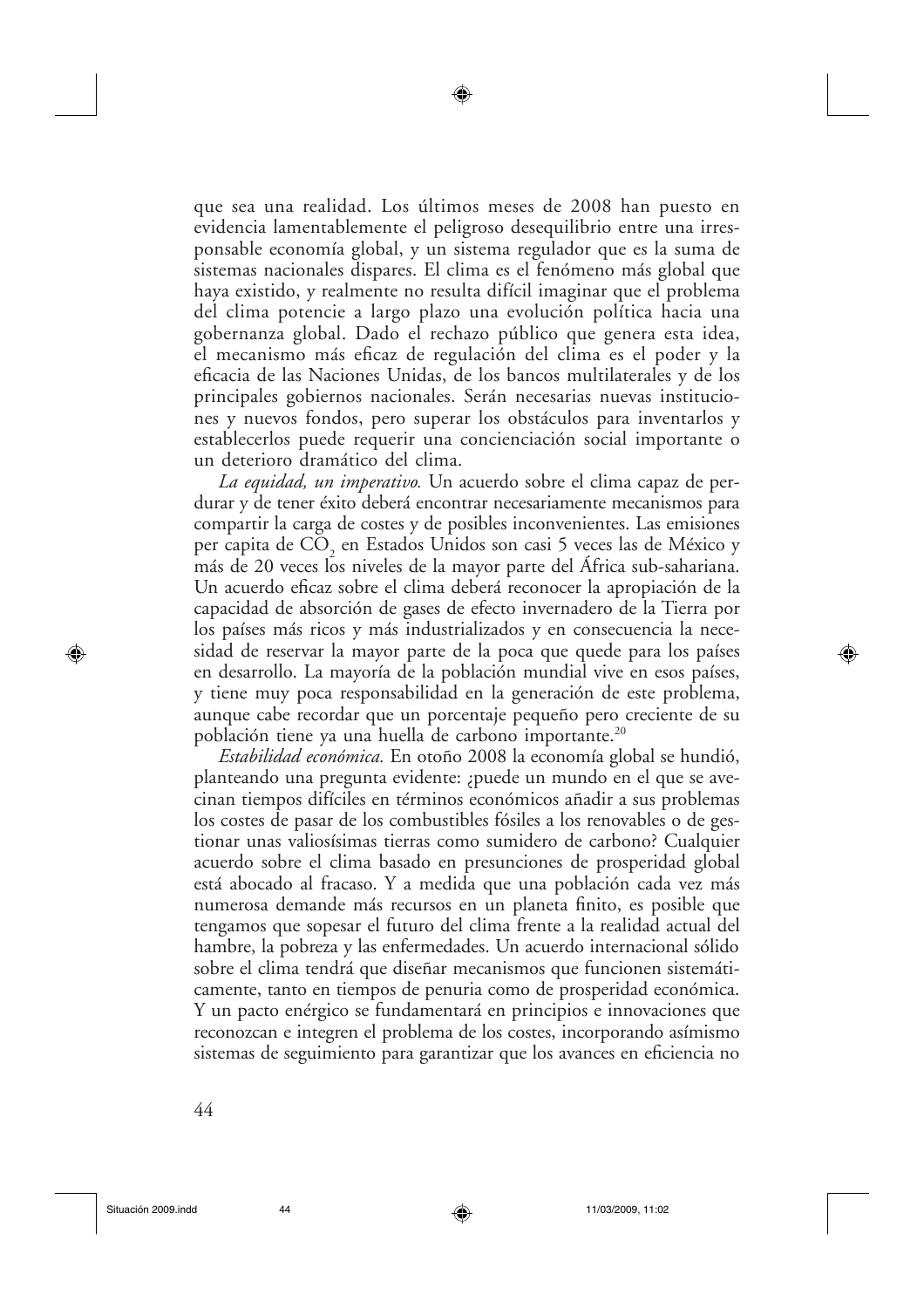⊕

que sea una realidad. Los últimos meses de 2008 han puesto en evidencia lamentablemente el peligroso desequilibrio entre una irresponsable economía global, y un sistema regulador que es la suma de sistemas nacionales dispares. El clima es el fenómeno más global que haya existido, y realmente no resulta difícil imaginar que el problema del clima potencie a largo plazo una evolución política hacia una gobernanza global. Dado el rechazo público que genera esta idea, el mecanismo más eficaz de regulación del clima es el poder y la eficacia de las Naciones Unidas, de los bancos multilaterales y de los principales gobiernos nacionales. Serán necesarias nuevas instituciones y nuevos fondos, pero superar los obstáculos para inventarlos y establecerlos puede requerir una concienciación social importante o un deterioro dramático del clima.

La equidad, un imperativo. Un acuerdo sobre el clima capaz de perdurar y de tener éxito deberá encontrar necesariamente mecanismos para compartir la carga de costes y de posibles inconvenientes. Las emisiones per capita de CO<sub>2</sub> en Estados Unidos son casi 5 veces las de México y más de 20 veces los niveles de la mayor parte del Africa sub-sahariana. Un acuerdo eficaz sobre el clima deberá reconocer la apropiación de la capacidad de absorción de gases de efecto invernadero de la Tierra por los países más ricos y más industrializados y en consecuencia la necesidad de reservar la mayor parte de la poca que quede para los países en desarrollo. La mayoría de la población mundial vive en esos países, y tiene muy poca responsabilidad en la generación de este problema, aunque cabe recordar que un porcentaje pequeño pero creciente de su población tiene ya una huella de carbono importante.<sup>20</sup>

*Estabilidad económica*. En otoño 2008 la economía global se hundió, planteando una pregunta evidente: ; puede un mundo en el que se avecinan tiempos difíciles en términos económicos añadir a sus problemas los costes de pasar de los combustibles fósiles a los renovables o de gestionar unas valiosísimas tierras como sumidero de carbono? Cualquier acuerdo sobre el clima basado en presunciones de prosperidad global está abocado al fracaso. Y a medida que una población cada vez más numerosa demande más recursos en un planeta finito, es posible que tengamos que sopesar el futuro del clima frente a la realidad actual del hambre, la pobreza y las enfermedades. Un acuerdo internacional sólido sobre el clima tendrá que diseñar mecanismos que funcionen sistemáticamente, tanto en tiempos de penuria como de prosperidad económica. Y un pacto enérgico se fundamentará en principios e innovaciones que reconozcan e integren el problema de los costes, incorporando asímismo sistemas de seguimiento para garantizar que los avances en eficiencia no

⊕

⊕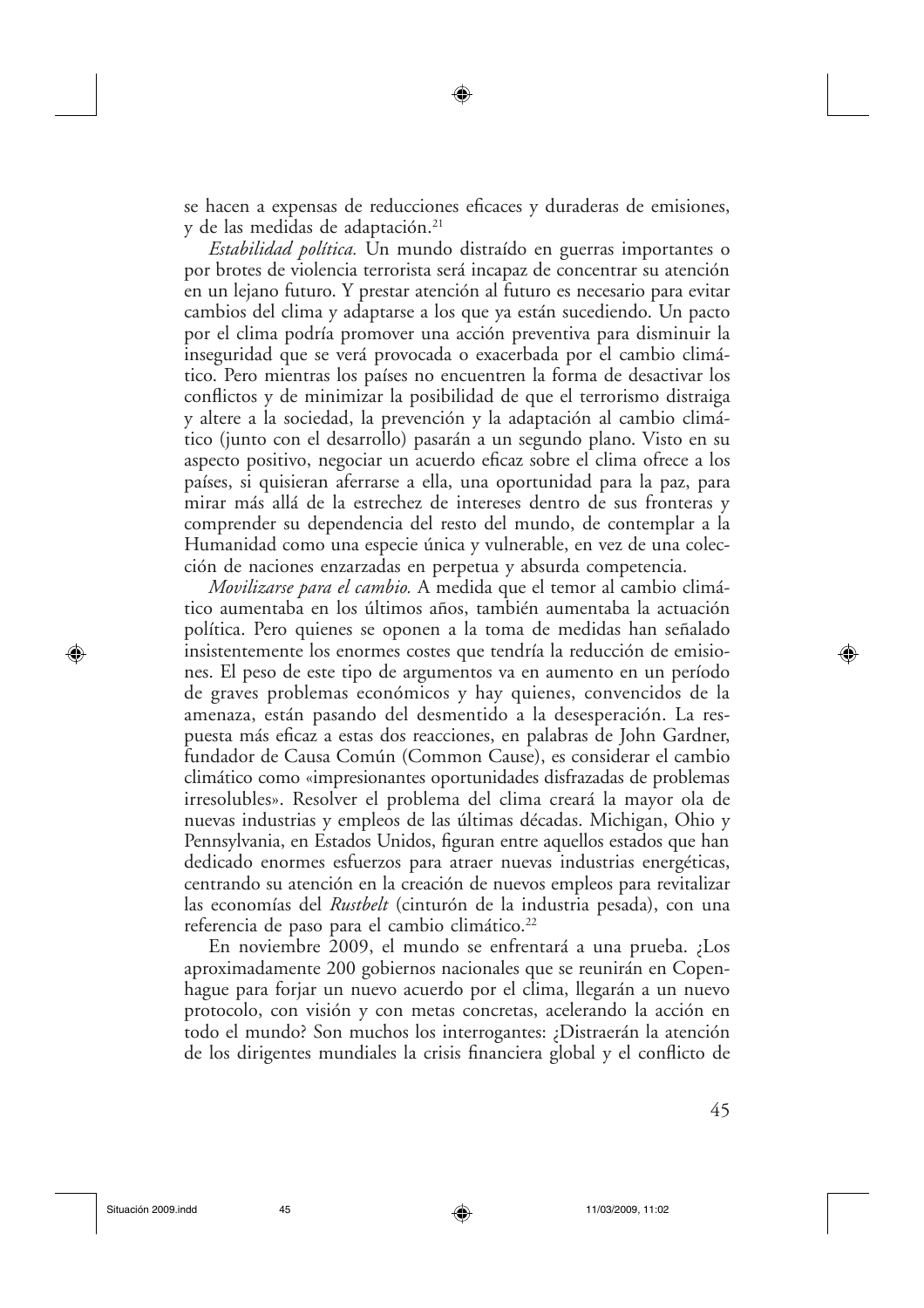se hacen a expensas de reducciones eficaces y duraderas de emisiones, y de las medidas de adaptación.<sup>21</sup>

⊕

*Estabilidad política*. Un mundo distraído en guerras importantes o por brotes de violencia terrorista será incapaz de concentrar su atención en un lejano futuro. Y prestar atención al futuro es necesario para evitar cambios del clima y adaptarse a los que ya están sucediendo. Un pacto por el clima podría promover una acción preventiva para disminuir la inseguridad que se verá provocada o exacerbada por el cambio climático. Pero mientras los países no encuentren la forma de desactivar los conflictos y de minimizar la posibilidad de que el terrorismo distraiga y altere a la sociedad, la prevención y la adaptación al cambio climático (junto con el desarrollo) pasarán a un segundo plano. Visto en su aspecto positivo, negociar un acuerdo eficaz sobre el clima ofrece a los países, si quisieran aferrarse a ella, una oportunidad para la paz, para mirar más allá de la estrechez de intereses dentro de sus fronteras y comprender su dependencia del resto del mundo, de contemplar a la Humanidad como una especie única y vulnerable, en vez de una colección de naciones enzarzadas en perpetua y absurda competencia.

Movilizarse para el cambio. A medida que el temor al cambio climático aumentaba en los últimos años, también aumentaba la actuación política. Pero quienes se oponen a la toma de medidas han señalado insistentemente los enormes costes que tendría la reducción de emisiones. El peso de este tipo de argumentos va en aumento en un período de graves problemas económicos y hay quienes, convencidos de la amenaza, están pasando del desmentido a la desesperación. La respuesta más eficaz a estas dos reacciones, en palabras de John Gardner, fundador de Causa Común (Common Cause), es considerar el cambio climático como «impresionantes oportunidades disfrazadas de problemas irresolubles». Resolver el problema del clima creará la mayor ola de nuevas industrias y empleos de las últimas décadas. Michigan, Ohio y Pennsylvania, en Estados Unidos, figuran entre aquellos estados que han dedicado enormes esfuerzos para atraer nuevas industrias energéticas, centrando su atención en la creación de nuevos empleos para revitalizar las economías del *Rustbelt* (cinturón de la industria pesada), con una referencia de paso para el cambio climático.<sup>22</sup>

En noviembre 2009, el mundo se enfrentará a una prueba. ¿Los aproximadamente 200 gobiernos nacionales que se reunirán en Copenhague para forjar un nuevo acuerdo por el clima, llegarán a un nuevo protocolo, con visión y con metas concretas, acelerando la acción en todo el mundo? Son muchos los interrogantes: ¿Distraerán la atención de los dirigentes mundiales la crisis financiera global y el conflicto de

⊕

◈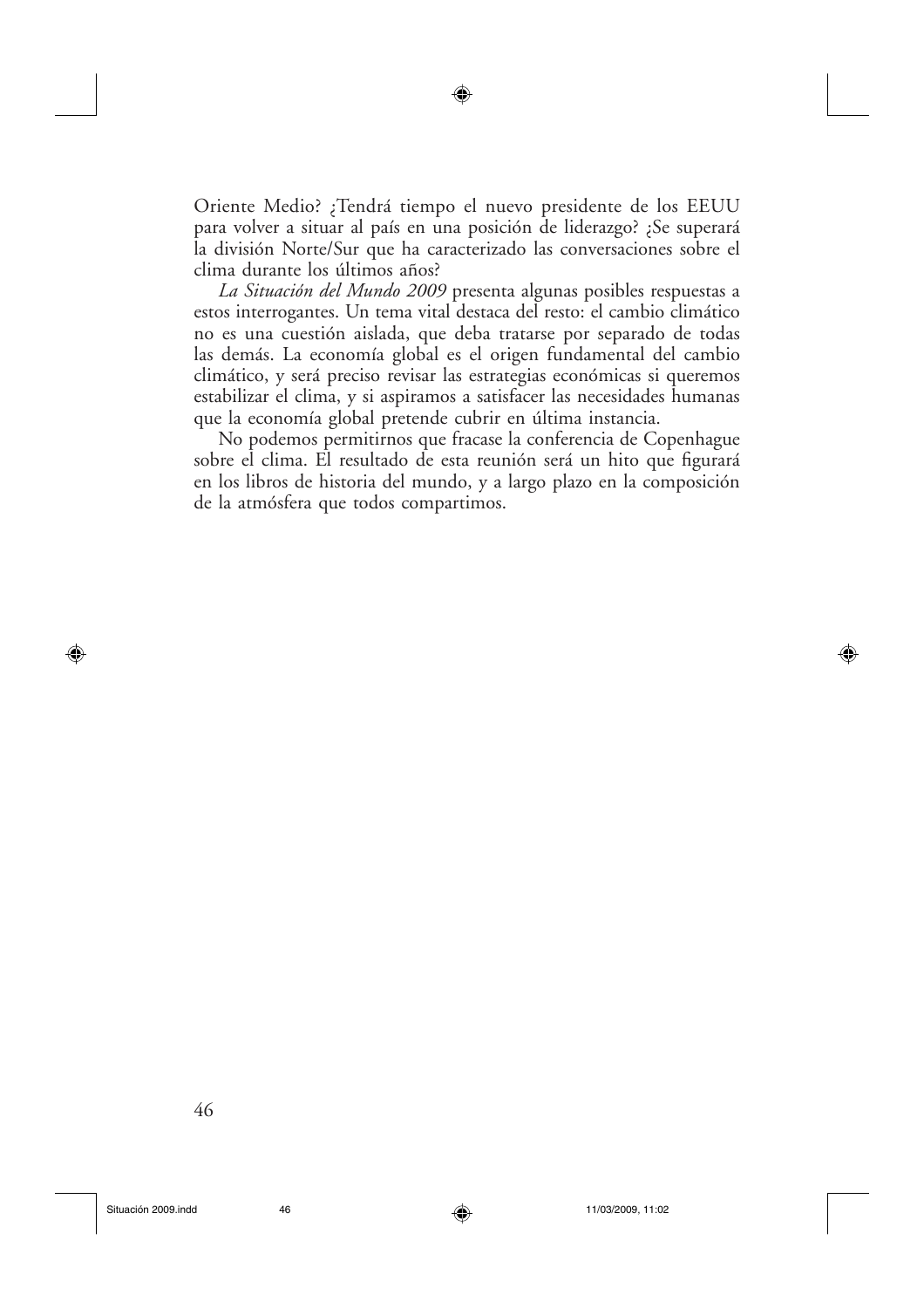Oriente Medio? ;Tendrá tiempo el nuevo presidente de los EEUU para volver a situar al país en una posición de liderazgo? ¿Se superará la división Norte/Sur que ha caracterizado las conversaciones sobre el clima durante los últimos años?

⊕

La Situación del Mundo 2009 presenta algunas posibles respuestas a estos interrogantes. Un tema vital destaca del resto: el cambio climático no es una cuestión aislada, que deba tratarse por separado de todas las demás. La economía global es el origen fundamental del cambio climático, y será preciso revisar las estrategias económicas si queremos estabilizar el clima, y si aspiramos a satisfacer las necesidades humanas que la economía global pretende cubrir en última instancia.

No podemos permitirnos que fracase la conferencia de Copenhague sobre el clima. El resultado de esta reunión será un hito que figurará en los libros de historia del mundo, y a largo plazo en la composición de la atmósfera que todos compartimos.

46

◈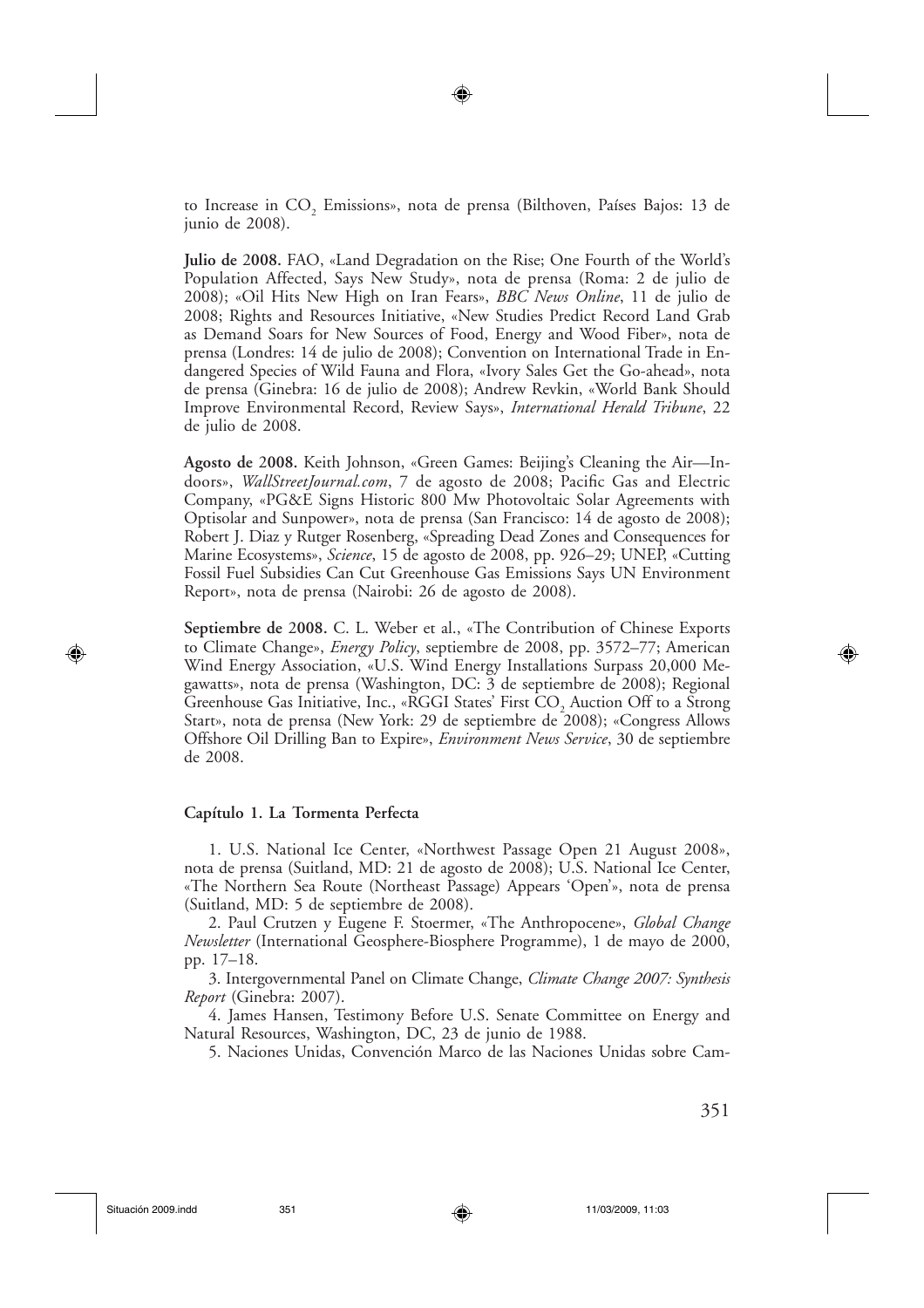to Increase in CO<sub>2</sub> Emissions», nota de prensa (Bilthoven, Países Bajos: 13 de junio de 2008).

Julio de 2008. FAO, «Land Degradation on the Rise; One Fourth of the World's Population Affected, Says New Study», nota de prensa (Roma: 2 de julio de 2008); «Oil Hits New High on Iran Fears», *BBC News Online*, 11 de julio de 2008; Rights and Resources Initiative, «New Studies Predict Record Land Grab as Demand Soars for New Sources of Food, Energy and Wood Fiber», nota de prensa (Londres: 14 de julio de 2008); Convention on International Trade in Endangered Species of Wild Fauna and Flora, «Ivory Sales Get the Go-ahead», nota de prensa (Ginebra: 16 de julio de 2008); Andrew Revkin, «World Bank Should Improve Environmental Record, Review Says», International Herald Tribune, 22 de julio de 2008.

Agosto de 2008. Keith Johnson, «Green Games: Beijing's Cleaning the Air—Indoors», WallStreetJournal.com, 7 de agosto de 2008; Pacific Gas and Electric Company, «PG&E Signs Historic 800 Mw Photovoltaic Solar Agreements with Optisolar and Sunpower», nota de prensa (San Francisco: 14 de agosto de 2008); Robert J. Diaz y Rutger Rosenberg, «Spreading Dead Zones and Consequences for Marine Ecosystems», Science, 15 de agosto de 2008, pp. 926-29; UNEP, «Cutting Fossil Fuel Subsidies Can Cut Greenhouse Gas Emissions Says UN Environment Report», nota de prensa (Nairobi: 26 de agosto de 2008).

Septiembre de 2008. C. L. Weber et al., «The Contribution of Chinese Exports to Climate Change», *Energy Policy*, septiembre de 2008, pp. 3572–77; American Wind Energy Association, «U.S. Wind Energy Installations Surpass 20,000 Megawatts», nota de prensa (Washington, DC: 3 de septiembre de 2008); Regional Greenhouse Gas Initiative, Inc., «RGGI States' First CO<sub>2</sub> Auction Off to a Strong Start», nota de prensa (New York: 29 de septiembre de 2008); «Congress Allows Offshore Oil Drilling Ban to Expire», *Environment News Service*, 30 de septiembre de 2008.

#### Capítulo 1. La Tormenta Perfecta

1. U.S. National Ice Center, «Northwest Passage Open 21 August 2008», nota de prensa (Suitland, MD: 21 de agosto de 2008); U.S. National Ice Center, «The Northern Sea Route (Northeast Passage) Appears 'Open'», nota de prensa (Suitland, MD: 5 de septiembre de 2008).

2. Paul Crutzen y Eugene F. Stoermer, «The Anthropocene», Global Change Newsletter (International Geosphere-Biosphere Programme), 1 de mayo de 2000, pp. 17-18.

3. Intergovernmental Panel on Climate Change, *Climate Change 2007: Synthesis* Report (Ginebra: 2007).

4. James Hansen, Testimony Before U.S. Senate Committee on Energy and Natural Resources, Washington, DC, 23 de junio de 1988.

5. Naciones Unidas, Convención Marco de las Naciones Unidas sobre Cam-

◈

◈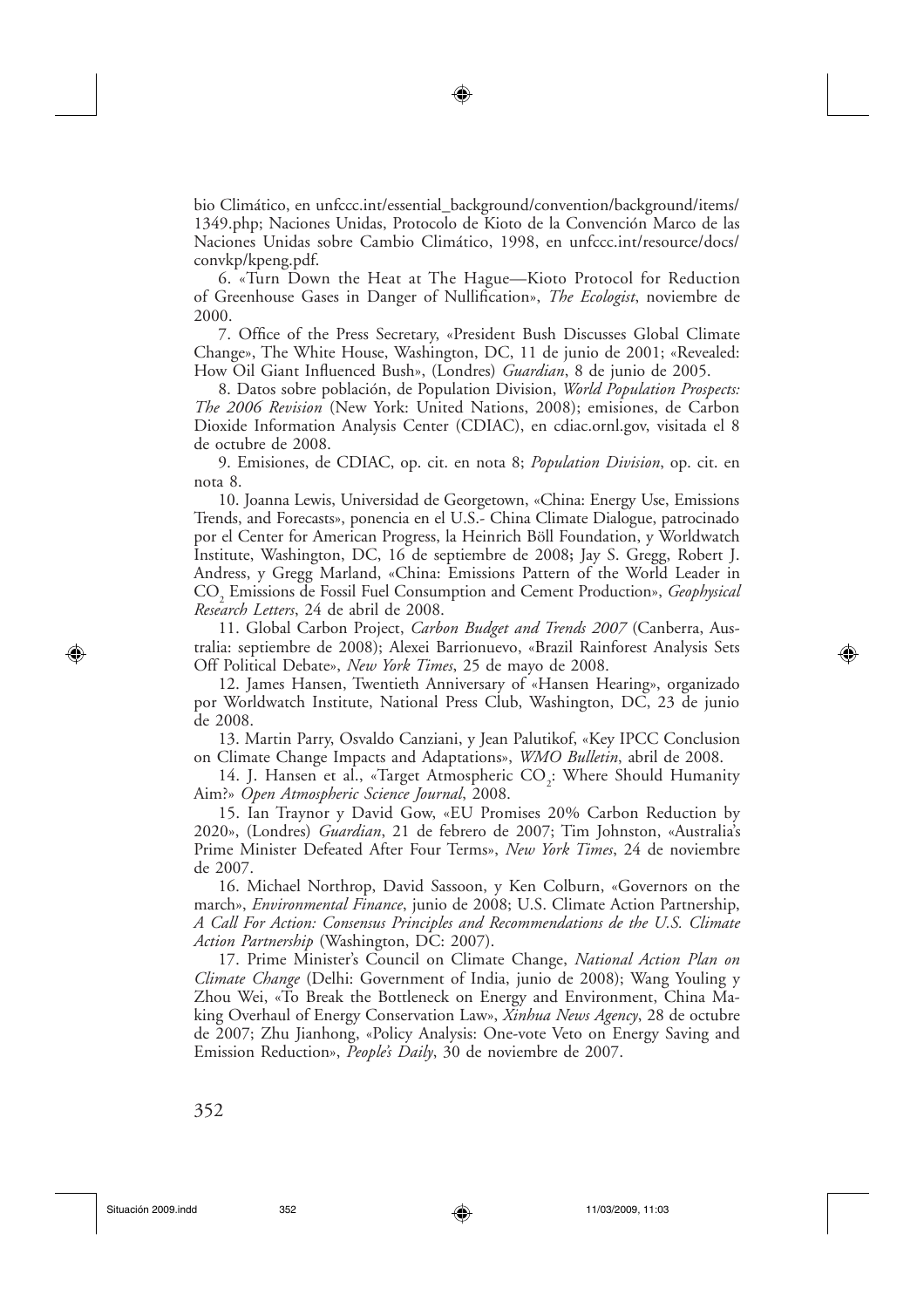bio Climático, en unfccc.int/essential\_background/convention/background/items/

⊕

1349.php; Naciones Unidas, Protocolo de Kioto de la Convención Marco de las Naciones Unidas sobre Cambio Climático, 1998, en unfccc.int/resource/docs/ convkp/kpeng.pdf.

6. «Turn Down the Heat at The Hague-Kioto Protocol for Reduction of Greenhouse Gases in Danger of Nullification», *The Ecologist*, noviembre de 2000.

7. Office of the Press Secretary, «President Bush Discusses Global Climate Change», The White House, Washington, DC, 11 de junio de 2001; «Revealed: How Oil Giant Influenced Bush», (Londres) Guardian, 8 de junio de 2005.

8. Datos sobre población, de Population Division, World Population Prospects: *The 2006 Revision* (New York: United Nations, 2008); emisiones, de Carbon Dioxide Information Analysis Center (CDIAC), en cdiac.ornl.gov, visitada el 8 de octubre de 2008.

9. Emisiones, de CDIAC, op. cit. en nota 8; Population Division, op. cit. en nota 8.

10. Joanna Lewis, Universidad de Georgetown, «China: Energy Use, Emissions Trends, and Forecasts», ponencia en el U.S.- China Climate Dialogue, patrocinado por el Center for American Progress, la Heinrich Böll Foundation, y Worldwatch Institute, Washington, DC, 16 de septiembre de 2008; Jay S. Gregg, Robert J. Andress, y Gregg Marland, «China: Emissions Pattern of the World Leader in CO<sub>2</sub> Emissions de Fossil Fuel Consumption and Cement Production», Geophysical *Research Letters*, 24 de abril de 2008.

11. Global Carbon Project, Carbon Budget and Trends 2007 (Canberra, Australia: septiembre de 2008); Alexei Barrionuevo, «Brazil Rainforest Analysis Sets Off Political Debate», *New York Times*, 25 de mayo de 2008.

12. James Hansen, Twentieth Anniversary of «Hansen Hearing», organizado por Worldwatch Institute, National Press Club, Washington, DC, 23 de junio de 2008.

13. Martin Parry, Osvaldo Canziani, y Jean Palutikof, «Key IPCC Conclusion on Climate Change Impacts and Adaptations», WMO Bulletin, abril de 2008.

14. J. Hansen et al., «Target Atmospheric CO<sub>2</sub>: Where Should Humanity Aim?» Open Atmospheric Science Journal, 2008.

15. Ian Traynor y David Gow, «EU Promises 20% Carbon Reduction by 2020», (Londres) *Guardian*, 21 de febrero de 2007; Tim Johnston, «Australia's Prime Minister Defeated After Four Terms», New York Times, 24 de noviembre de 2007.

16. Michael Northrop, David Sassoon, y Ken Colburn, «Governors on the march», Environmental Finance, junio de 2008; U.S. Climate Action Partnership, A Call For Action: Consensus Principles and Recommendations de the U.S. Climate Action Partnership (Washington, DC: 2007).

17. Prime Minister's Council on Climate Change, National Action Plan on *Climate Change* (Delhi: Government of India, junio de 2008); Wang Youling y Zhou Wei, «To Break the Bottleneck on Energy and Environment, China Making Overhaul of Energy Conservation Law», *Xinhua News Agency*, 28 de octubre de 2007; Zhu Jianhong, «Policy Analysis: One-vote Veto on Energy Saving and Emission Reduction», *People's Daily*, 30 de noviembre de 2007.

⊕

352

⊕